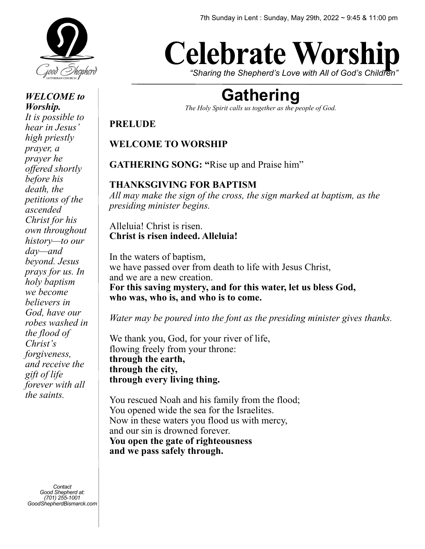

#### *WELCOME to Worship. It is possible to hear in Jesus' high priestly prayer, a prayer he offered shortly before his death, the petitions of the ascended Christ for his own throughout history—to our day—and beyond. Jesus prays for us. In holy baptism we become believers in God, have our robes washed in the flood of Christ's forgiveness, and receive the gift of life forever with all*

*Contact Good Shepherd at: (701) 255-1001 GoodShepherdBismarck.com*

*the saints.* 

# **Celebrate Worship**

*"Sharing the Shepherd's Love with All of God's Children"*

# **Gathering**

*The Holy Spirit calls us together as the people of God.* 

#### **PRELUDE**

# **WELCOME TO WORSHIP**

**GATHERING SONG: "**Rise up and Praise him"

#### **THANKSGIVING FOR BAPTISM**

*All may make the sign of the cross, the sign marked at baptism, as the presiding minister begins.* 

#### Alleluia! Christ is risen. **Christ is risen indeed. Alleluia!**

In the waters of baptism, we have passed over from death to life with Jesus Christ, and we are a new creation. **For this saving mystery, and for this water, let us bless God, who was, who is, and who is to come.** 

*Water may be poured into the font as the presiding minister gives thanks.* 

We thank you, God, for your river of life, flowing freely from your throne: **through the earth, through the city, through every living thing.** 

You rescued Noah and his family from the flood; You opened wide the sea for the Israelites. Now in these waters you flood us with mercy, and our sin is drowned forever. **You open the gate of righteousness and we pass safely through.**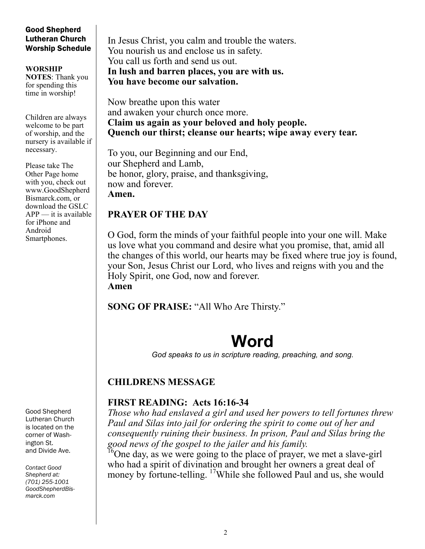#### Good Shepherd Lutheran Church Worship Schedule

**WORSHIP NOTES**: Thank you for spending this time in worship!

Children are always welcome to be part of worship, and the nursery is available if necessary.

Please take The Other Page home with you, check out www.GoodShepherd Bismarck.com, or download the GSLC  $APP$  — it is available for iPhone and Android Smartphones.

Good Shepherd Lutheran Church is located on the corner of Washington St. and Divide Ave.

*Contact Good Shepherd at: (701) 255-1001 GoodShepherdBismarck.com*

In Jesus Christ, you calm and trouble the waters. You nourish us and enclose us in safety. You call us forth and send us out. **In lush and barren places, you are with us. You have become our salvation.** 

Now breathe upon this water and awaken your church once more. **Claim us again as your beloved and holy people. Quench our thirst; cleanse our hearts; wipe away every tear.** 

To you, our Beginning and our End, our Shepherd and Lamb, be honor, glory, praise, and thanksgiving, now and forever. **Amen.**

# **PRAYER OF THE DAY**

O God, form the minds of your faithful people into your one will. Make us love what you command and desire what you promise, that, amid all the changes of this world, our hearts may be fixed where true joy is found, your Son, Jesus Christ our Lord, who lives and reigns with you and the Holy Spirit, one God, now and forever. **Amen**

**SONG OF PRAISE:** "All Who Are Thirsty."

# **Word**

*God speaks to us in scripture reading, preaching, and song.* 

### **CHILDRENS MESSAGE**

### **FIRST READING: Acts 16:16-34**

*Those who had enslaved a girl and used her powers to tell fortunes threw Paul and Silas into jail for ordering the spirit to come out of her and consequently ruining their business. In prison, Paul and Silas bring the good news of the gospel to the jailer and his family.* 

<sup>16</sup>One day, as we were going to the place of prayer, we met a slave-girl who had a spirit of divination and brought her owners a great deal of money by fortune-telling. <sup>17</sup>While she followed Paul and us, she would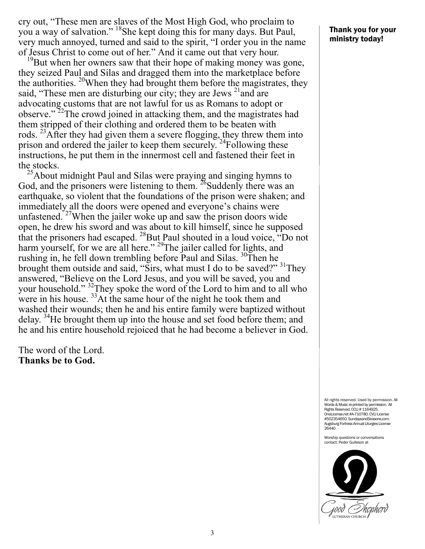cry out, "These men are slaves of the Most High God, who proclaim to you a way of salvation." <sup>18</sup>She kept doing this for many days. But Paul, very much annoyed, turned and said to the spirit, "I order you in the name of Jesus Christ to come out of her." And it came out that very hour.

 $^{19}$ But when her owners saw that their hope of making money was gone, they seized Paul and Silas and dragged them into the marketplace before the authorities.  $^{20}$ When they had brought them before the magistrates, they said, "These men are disturbing our city; they are Jews  $21$  and are advocating customs that are not lawful for us as Romans to adopt or observe."<sup>22</sup>The crowd joined in attacking them, and the magistrates had them stripped of their clothing and ordered them to be beaten with rods. <sup>23</sup>After they had given them a severe flogging, they threw them into prison and ordered the jailer to keep them securely.  $^{24}$ Following these instructions, he put them in the innermost cell and fastened their feet in the stocks.

 $^{25}$ About midnight Paul and Silas were praying and singing hymns to God, and the prisoners were listening to them.  $^{26}$ Suddenly there was an earthquake, so violent that the foundations of the prison were shaken; and immediately all the doors were opened and everyone's chains were unfastened.<sup>27</sup>When the jailer woke up and saw the prison doors wide open, he drew his sword and was about to kill himself, since he supposed that the prisoners had escaped.  $^{28}$ But Paul shouted in a loud voice, "Do not harm yourself, for we are all here."<sup>29</sup>The jailer called for lights, and rushing in, he fell down trembling before Paul and Silas.  $30$ Then he brought them outside and said, "Sirs, what must I do to be saved?"  $31$ They answered, "Believe on the Lord Jesus, and you will be saved, you and your household." <sup>32</sup>They spoke the word of the Lord to him and to all who were in his house. <sup>33</sup>At the same hour of the night he took them and washed their wounds; then he and his entire family were baptized without delay. <sup>34</sup>He brought them up into the house and set food before them; and he and his entire household rejoiced that he had become a believer in God.

The word of the Lord. **Thanks be to God.**

#### Thank you for your ministry today!

All rights reserved. Used by permission. All Words & Music re-printed by permission. All Rights Reserved. CCLI # 1164925. OneLicense.net #A-710780. CVLI License #502354650. SundaysandSeasons.com. Augsburg Fortress Annual Liturgies License 26440

Worship questions or conversations contact: Peder Gulleson at

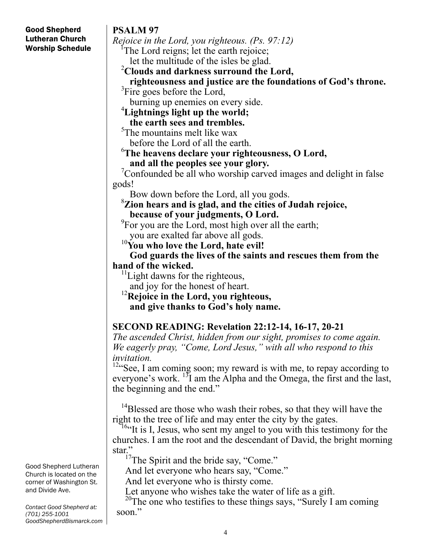# **PSALM 97**

Good Shepherd Lutheran Church Worship Schedule

*Rejoice in the Lord, you righteous. (Ps. 97:12)* The Lord reigns; let the earth rejoice; let the multitude of the isles be glad.

**Clouds and darkness surround the Lord,**

 **righteousness and justice are the foundations of God's throne.** <sup>3</sup>  ${}^{3}$ Fire goes before the Lord,

burning up enemies on every side.

# **Lightnings light up the world;**

 **the earth sees and trembles.** 5 The mountains melt like wax

before the Lord of all the earth.

#### 6 **The heavens declare your righteousness, O Lord, and all the peoples see your glory.** <sup>7</sup>

Confounded be all who worship carved images and delight in false gods!

Bow down before the Lord, all you gods.

**Zion hears and is glad, and the cities of Judah rejoice, because of your judgments, O Lord.** <sup>9</sup>

 ${}^{9}$ For you are the Lord, most high over all the earth;

you are exalted far above all gods. 10**You who love the Lord, hate evil!**

 **God guards the lives of the saints and rescues them from the hand of the wicked.**

<sup>11</sup>Light dawns for the righteous,

 and joy for the honest of heart. 12**Rejoice in the Lord, you righteous, and give thanks to God's holy name.**

# **SECOND READING: Revelation 22:12-14, 16-17, 20-21**

*The ascended Christ, hidden from our sight, promises to come again. We eagerly pray, "Come, Lord Jesus," with all who respond to this invitation.* 

<sup>12</sup>"See, I am coming soon; my reward is with me, to repay according to everyone's work. <sup>13</sup>I am the Alpha and the Omega, the first and the last, the beginning and the end."

<sup>14</sup>Blessed are those who wash their robes, so that they will have the right to the tree of life and may enter the city by the gates.<br><sup>16.</sup>It is I, Jesus, who sent my angel to you with this testimony for the

churches. I am the root and the descendant of David, the bright morning star."

 $17$ The Spirit and the bride say, "Come."

And let everyone who hears say, "Come."

And let everyone who is thirsty come.

Let anyone who wishes take the water of life as a gift.<br><sup>20</sup>The one who testifies to these things says, "Surely I am coming soon."

Good Shepherd Lutheran Church is located on the corner of Washington St. and Divide Ave.

*Contact Good Shepherd at: (701) 255-1001 GoodShepherdBismarck.com*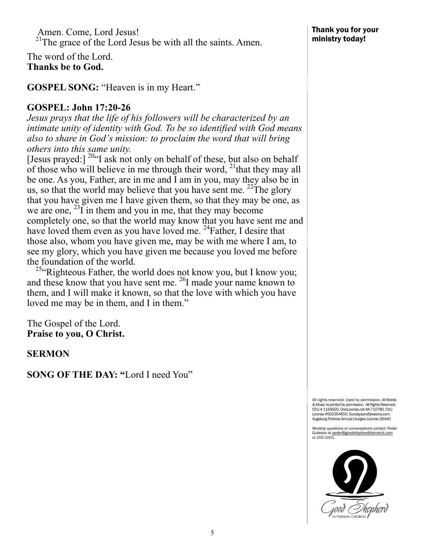Amen. Come, Lord Jesus! <sup>21</sup>The grace of the Lord Jesus be with all the saints. Amen.

The word of the Lord. **Thanks be to God.**

**GOSPEL SONG:** "Heaven is in my Heart."

#### **GOSPEL: John 17:20-26**

*Jesus prays that the life of his followers will be characterized by an intimate unity of identity with God. To be so identified with God means also to share in God's mission: to proclaim the word that will bring others into this same unity.* 

[Jesus prayed:]  $^{20}$ "I ask not only on behalf of these, but also on behalf of those who will believe in me through their word,  $^{21}$  that they may all be one. As you, Father, are in me and I am in you, may they also be in us, so that the world may believe that you have sent me.  $^{22}$ The glory that you have given me I have given them, so that they may be one, as we are one,  $^{23}$ I in them and you in me, that they may become completely one, so that the world may know that you have sent me and have loved them even as you have loved me. <sup>24</sup>Father, I desire that those also, whom you have given me, may be with me where I am, to see my glory, which you have given me because you loved me before the foundation of the world.

<sup>25</sup> Righteous Father, the world does not know you, but I know you; and these know that you have sent me. 26I made your name known to them, and I will make it known, so that the love with which you have loved me may be in them, and I in them."

The Gospel of the Lord. **Praise to you, O Christ.**

**SERMON**

**SONG OF THE DAY: "**Lord I need You"

All rights reserved. Used by permission. All Words & Music re-printed by permission. All Rights Reserved. CCLI # 1164925. OneLicense.net #A-710780. CVLI License #502354650. SundaysandSeasons.com. Augsburg Fortress Annual Liturgies License 26440

Worship questions or conversations contact: Peder Gulleson at <u>peder@goodshepherdbismarck.com</u><br>or 255-1001.

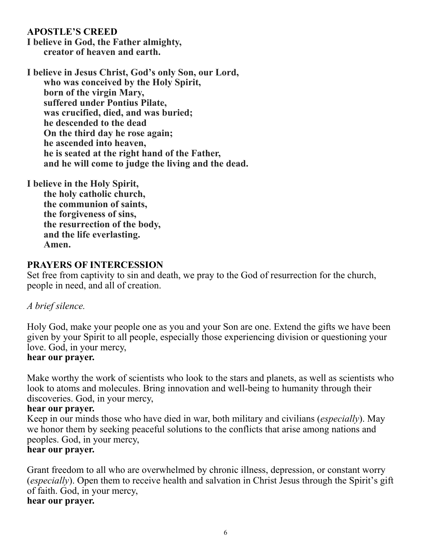#### **APOSTLE'S CREED**

**I believe in God, the Father almighty, creator of heaven and earth.**

**I believe in Jesus Christ, God's only Son, our Lord, who was conceived by the Holy Spirit, born of the virgin Mary, suffered under Pontius Pilate, was crucified, died, and was buried; he descended to the dead On the third day he rose again; he ascended into heaven, he is seated at the right hand of the Father, and he will come to judge the living and the dead.**

**I believe in the Holy Spirit,**

**the holy catholic church, the communion of saints, the forgiveness of sins, the resurrection of the body, and the life everlasting. Amen.**

#### **PRAYERS OF INTERCESSION**

Set free from captivity to sin and death, we pray to the God of resurrection for the church, people in need, and all of creation.

#### *A brief silence.*

Holy God, make your people one as you and your Son are one. Extend the gifts we have been given by your Spirit to all people, especially those experiencing division or questioning your love. God, in your mercy,

#### **hear our prayer.**

Make worthy the work of scientists who look to the stars and planets, as well as scientists who look to atoms and molecules. Bring innovation and well-being to humanity through their discoveries. God, in your mercy,

#### **hear our prayer.**

Keep in our minds those who have died in war, both military and civilians (*especially*). May we honor them by seeking peaceful solutions to the conflicts that arise among nations and peoples. God, in your mercy,

#### **hear our prayer.**

Grant freedom to all who are overwhelmed by chronic illness, depression, or constant worry (*especially*). Open them to receive health and salvation in Christ Jesus through the Spirit's gift of faith. God, in your mercy, **hear our prayer.**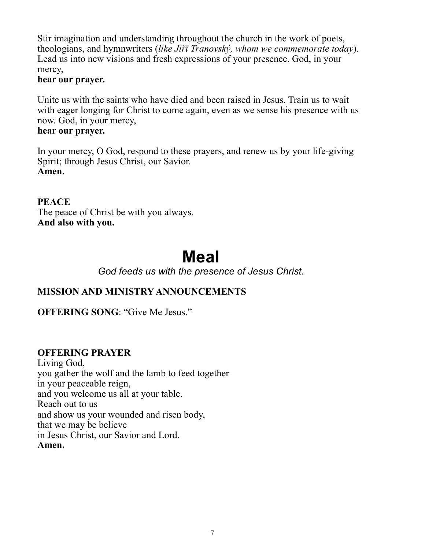Stir imagination and understanding throughout the church in the work of poets, theologians, and hymnwriters (*like Jiřī Tranovský, whom we commemorate today*). Lead us into new visions and fresh expressions of your presence. God, in your mercy,

#### **hear our prayer.**

Unite us with the saints who have died and been raised in Jesus. Train us to wait with eager longing for Christ to come again, even as we sense his presence with us now. God, in your mercy,

#### **hear our prayer.**

In your mercy, O God, respond to these prayers, and renew us by your life-giving Spirit; through Jesus Christ, our Savior. **Amen.**

**PEACE**  The peace of Christ be with you always. **And also with you.**

# **Meal**

*God feeds us with the presence of Jesus Christ.* 

### **MISSION AND MINISTRY ANNOUNCEMENTS**

**OFFERING SONG**: "Give Me Jesus."

### **OFFERING PRAYER**

Living God, you gather the wolf and the lamb to feed together in your peaceable reign, and you welcome us all at your table. Reach out to us and show us your wounded and risen body, that we may be believe in Jesus Christ, our Savior and Lord. **Amen.**